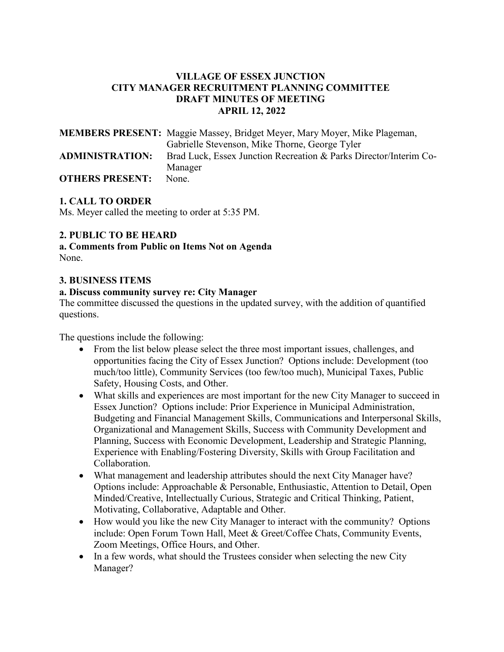# **VILLAGE OF ESSEX JUNCTION CITY MANAGER RECRUITMENT PLANNING COMMITTEE DRAFT MINUTES OF MEETING APRIL 12, 2022**

|                        | <b>MEMBERS PRESENT:</b> Maggie Massey, Bridget Meyer, Mary Moyer, Mike Plageman, |
|------------------------|----------------------------------------------------------------------------------|
|                        | Gabrielle Stevenson, Mike Thorne, George Tyler                                   |
| <b>ADMINISTRATION:</b> | Brad Luck, Essex Junction Recreation & Parks Director/Interim Co-                |
|                        | Manager                                                                          |
| <b>OTHERS PRESENT:</b> | None.                                                                            |

# **1. CALL TO ORDER**

Ms. Meyer called the meeting to order at 5:35 PM.

## **2. PUBLIC TO BE HEARD**

**a. Comments from Public on Items Not on Agenda**  None.

### **3. BUSINESS ITEMS**

### **a. Discuss community survey re: City Manager**

The committee discussed the questions in the updated survey, with the addition of quantified questions.

The questions include the following:

- From the list below please select the three most important issues, challenges, and opportunities facing the City of Essex Junction? Options include: Development (too much/too little), Community Services (too few/too much), Municipal Taxes, Public Safety, Housing Costs, and Other.
- What skills and experiences are most important for the new City Manager to succeed in Essex Junction? Options include: Prior Experience in Municipal Administration, Budgeting and Financial Management Skills, Communications and Interpersonal Skills, Organizational and Management Skills, Success with Community Development and Planning, Success with Economic Development, Leadership and Strategic Planning, Experience with Enabling/Fostering Diversity, Skills with Group Facilitation and Collaboration.
- What management and leadership attributes should the next City Manager have? Options include: Approachable & Personable, Enthusiastic, Attention to Detail, Open Minded/Creative, Intellectually Curious, Strategic and Critical Thinking, Patient, Motivating, Collaborative, Adaptable and Other.
- How would you like the new City Manager to interact with the community? Options include: Open Forum Town Hall, Meet & Greet/Coffee Chats, Community Events, Zoom Meetings, Office Hours, and Other.
- In a few words, what should the Trustees consider when selecting the new City Manager?